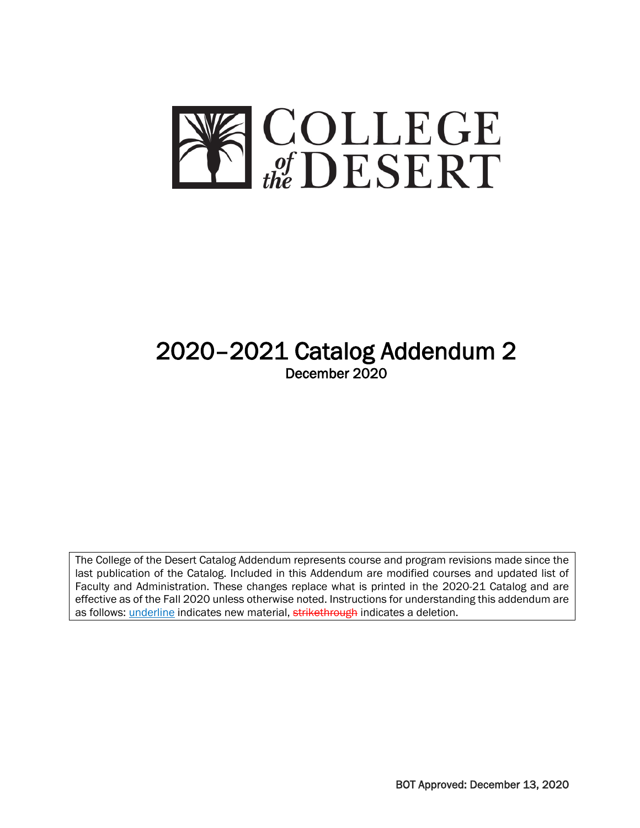

# 2020–2021 Catalog Addendum 2 December 2020

The College of the Desert Catalog Addendum represents course and program revisions made since the last publication of the Catalog. Included in this Addendum are modified courses and updated list of Faculty and Administration. These changes replace what is printed in the 2020-21 Catalog and are effective as of the Fall 2020 unless otherwise noted. Instructions for understanding this addendum are as follows: underline indicates new material, strikethrough indicates a deletion.